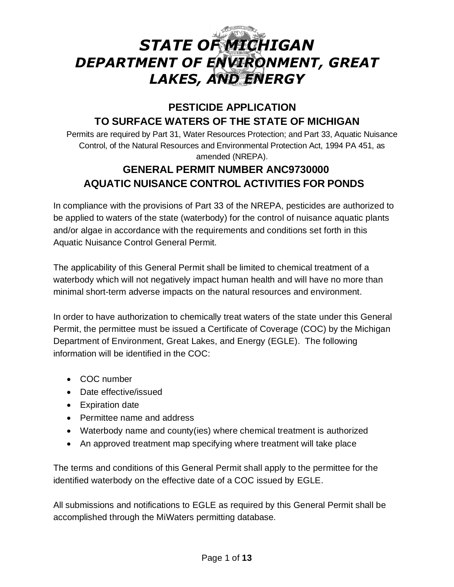# *STATE OF MICHIGAN DEPARTMENT OF ENVIRONMENT, GREAT LAKES, AND ENERGY*

# **PESTICIDE APPLICATION TO SURFACE WATERS OF THE STATE OF MICHIGAN**

Permits are required by Part 31, Water Resources Protection; and Part 33, Aquatic Nuisance Control, of the Natural Resources and Environmental Protection Act, 1994 PA 451, as amended (NREPA).

# **GENERAL PERMIT NUMBER ANC9730000 AQUATIC NUISANCE CONTROL ACTIVITIES FOR PONDS**

In compliance with the provisions of Part 33 of the NREPA, pesticides are authorized to be applied to waters of the state (waterbody) for the control of nuisance aquatic plants and/or algae in accordance with the requirements and conditions set forth in this Aquatic Nuisance Control General Permit.

The applicability of this General Permit shall be limited to chemical treatment of a waterbody which will not negatively impact human health and will have no more than minimal short-term adverse impacts on the natural resources and environment.

In order to have authorization to chemically treat waters of the state under this General Permit, the permittee must be issued a Certificate of Coverage (COC) by the Michigan Department of Environment, Great Lakes, and Energy (EGLE). The following information will be identified in the COC:

- COC number
- Date effective/issued
- Expiration date
- Permittee name and address
- Waterbody name and county(ies) where chemical treatment is authorized
- An approved treatment map specifying where treatment will take place

The terms and conditions of this General Permit shall apply to the permittee for the identified waterbody on the effective date of a COC issued by EGLE.

All submissions and notifications to EGLE as required by this General Permit shall be accomplished through the MiWaters permitting database.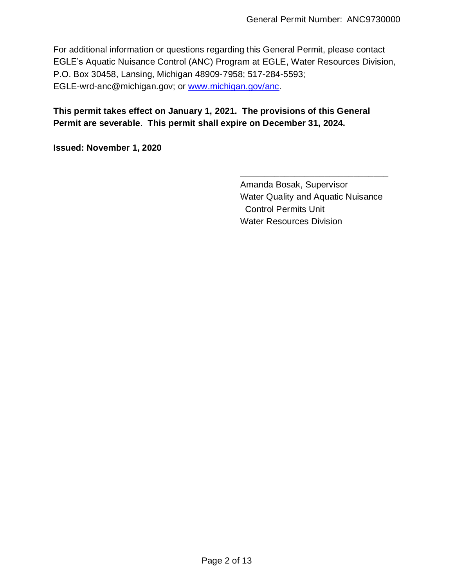For additional information or questions regarding this General Permit, please contact EGLE's Aquatic Nuisance Control (ANC) Program at EGLE, Water Resources Division, P.O. Box 30458, Lansing, Michigan 48909-7958; 517-284-5593; EGLE-wrd-anc@michigan.gov; or [www.michigan.gov/anc.](http://www.michigan.gov/anc)

# **This permit takes effect on January 1, 2021. The provisions of this General Permit are severable**. **This permit shall expire on December 31, 2024.**

**Issued: November 1, 2020**

Amanda Bosak, Supervisor Water Quality and Aquatic Nuisance Control Permits Unit Water Resources Division

**\_\_\_\_\_\_\_\_\_\_\_\_\_\_\_\_\_\_\_\_\_\_\_\_\_\_\_\_\_\_**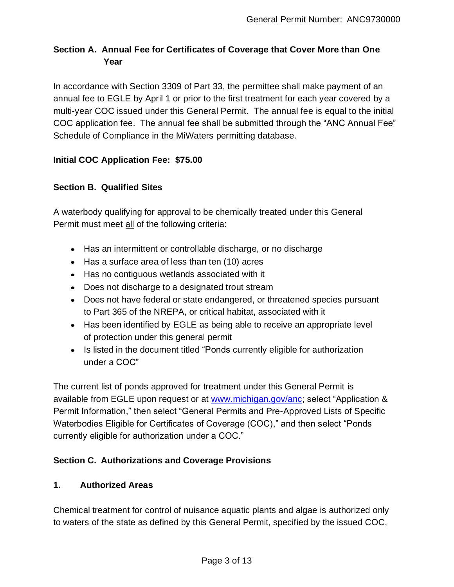# **Section A. Annual Fee for Certificates of Coverage that Cover More than One Year**

In accordance with Section 3309 of Part 33, the permittee shall make payment of an annual fee to EGLE by April 1 or prior to the first treatment for each year covered by a multi-year COC issued under this General Permit. The annual fee is equal to the initial COC application fee. The annual fee shall be submitted through the "ANC Annual Fee" Schedule of Compliance in the MiWaters permitting database.

# **Initial COC Application Fee: \$75.00**

# **Section B. Qualified Sites**

A waterbody qualifying for approval to be chemically treated under this General Permit must meet all of the following criteria:

- Has an intermittent or controllable discharge, or no discharge
- Has a surface area of less than ten (10) acres
- Has no contiguous wetlands associated with it
- Does not discharge to a designated trout stream
- Does not have federal or state endangered, or threatened species pursuant to Part 365 of the NREPA, or critical habitat, associated with it
- Has been identified by EGLE as being able to receive an appropriate level of protection under this general permit
- Is listed in the document titled "Ponds currently eligible for authorization under a COC"

The current list of ponds approved for treatment under this General Permit is available from EGLE upon request or at [www.michigan.gov/anc;](http://www.michigan.gov/anc) select "Application & Permit Information," then select "General Permits and Pre-Approved Lists of Specific Waterbodies Eligible for Certificates of Coverage (COC)," and then select "Ponds currently eligible for authorization under a COC."

# **Section C. Authorizations and Coverage Provisions**

### **1. Authorized Areas**

Chemical treatment for control of nuisance aquatic plants and algae is authorized only to waters of the state as defined by this General Permit, specified by the issued COC,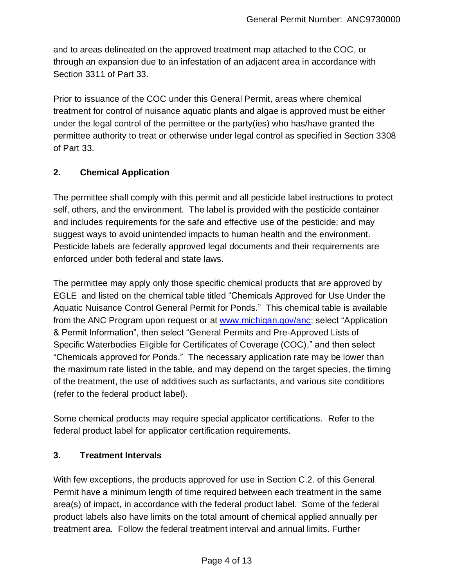and to areas delineated on the approved treatment map attached to the COC, or through an expansion due to an infestation of an adjacent area in accordance with Section 3311 of Part 33.

Prior to issuance of the COC under this General Permit, areas where chemical treatment for control of nuisance aquatic plants and algae is approved must be either under the legal control of the permittee or the party(ies) who has/have granted the permittee authority to treat or otherwise under legal control as specified in Section 3308 of Part 33.

# **2. Chemical Application**

The permittee shall comply with this permit and all pesticide label instructions to protect self, others, and the environment. The label is provided with the pesticide container and includes requirements for the safe and effective use of the pesticide; and may suggest ways to avoid unintended impacts to human health and the environment. Pesticide labels are federally approved legal documents and their requirements are enforced under both federal and state laws.

The permittee may apply only those specific chemical products that are approved by EGLE and listed on the chemical table titled "Chemicals Approved for Use Under the Aquatic Nuisance Control General Permit for Ponds." This chemical table is available from the ANC Program upon request or at [www.michigan.gov/anc;](http://www.michigan.gov/anc) select "Application & Permit Information", then select "General Permits and Pre-Approved Lists of Specific Waterbodies Eligible for Certificates of Coverage (COC)," and then select "Chemicals approved for Ponds." The necessary application rate may be lower than the maximum rate listed in the table, and may depend on the target species, the timing of the treatment, the use of additives such as surfactants, and various site conditions (refer to the federal product label).

Some chemical products may require special applicator certifications. Refer to the federal product label for applicator certification requirements.

### **3. Treatment Intervals**

With few exceptions, the products approved for use in Section C.2. of this General Permit have a minimum length of time required between each treatment in the same area(s) of impact, in accordance with the federal product label. Some of the federal product labels also have limits on the total amount of chemical applied annually per treatment area. Follow the federal treatment interval and annual limits. Further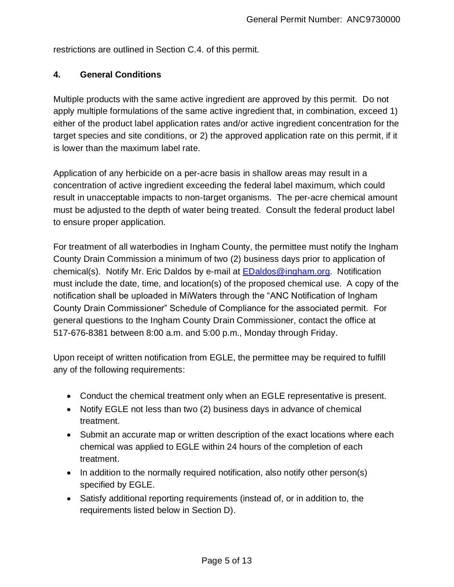restrictions are outlined in Section C.4. of this permit.

# **4. General Conditions**

Multiple products with the same active ingredient are approved by this permit. Do not apply multiple formulations of the same active ingredient that, in combination, exceed 1) either of the product label application rates and/or active ingredient concentration for the target species and site conditions, or 2) the approved application rate on this permit, if it is lower than the maximum label rate.

Application of any herbicide on a per-acre basis in shallow areas may result in a concentration of active ingredient exceeding the federal label maximum, which could result in unacceptable impacts to non-target organisms. The per-acre chemical amount must be adjusted to the depth of water being treated. Consult the federal product label to ensure proper application.

For treatment of all waterbodies in Ingham County, the permittee must notify the Ingham County Drain Commission a minimum of two (2) business days prior to application of chemical(s). Notify Mr. Eric Daldos by e-mail at **EDaldos@ingham.org.** Notification must include the date, time, and location(s) of the proposed chemical use. A copy of the notification shall be uploaded in MiWaters through the "ANC Notification of Ingham County Drain Commissioner" Schedule of Compliance for the associated permit. For general questions to the Ingham County Drain Commissioner, contact the office at 517-676-8381 between 8:00 a.m. and 5:00 p.m., Monday through Friday.

Upon receipt of written notification from EGLE, the permittee may be required to fulfill any of the following requirements:

- Conduct the chemical treatment only when an EGLE representative is present.
- Notify EGLE not less than two (2) business days in advance of chemical treatment.
- Submit an accurate map or written description of the exact locations where each chemical was applied to EGLE within 24 hours of the completion of each treatment.
- In addition to the normally required notification, also notify other person(s) specified by EGLE.
- Satisfy additional reporting requirements (instead of, or in addition to, the requirements listed below in Section D).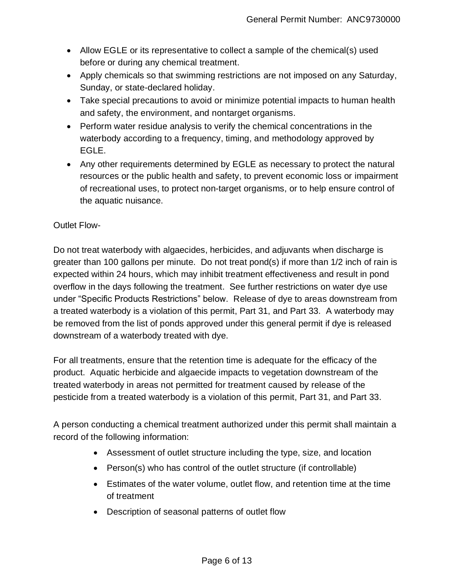- Allow EGLE or its representative to collect a sample of the chemical(s) used before or during any chemical treatment.
- Apply chemicals so that swimming restrictions are not imposed on any Saturday, Sunday, or state-declared holiday.
- Take special precautions to avoid or minimize potential impacts to human health and safety, the environment, and nontarget organisms.
- Perform water residue analysis to verify the chemical concentrations in the waterbody according to a frequency, timing, and methodology approved by EGLE.
- Any other requirements determined by EGLE as necessary to protect the natural resources or the public health and safety, to prevent economic loss or impairment of recreational uses, to protect non-target organisms, or to help ensure control of the aquatic nuisance.

# Outlet Flow-

Do not treat waterbody with algaecides, herbicides, and adjuvants when discharge is greater than 100 gallons per minute. Do not treat pond(s) if more than 1/2 inch of rain is expected within 24 hours, which may inhibit treatment effectiveness and result in pond overflow in the days following the treatment. See further restrictions on water dye use under "Specific Products Restrictions" below. Release of dye to areas downstream from a treated waterbody is a violation of this permit, Part 31, and Part 33. A waterbody may be removed from the list of ponds approved under this general permit if dye is released downstream of a waterbody treated with dye.

For all treatments, ensure that the retention time is adequate for the efficacy of the product. Aquatic herbicide and algaecide impacts to vegetation downstream of the treated waterbody in areas not permitted for treatment caused by release of the pesticide from a treated waterbody is a violation of this permit, Part 31, and Part 33.

A person conducting a chemical treatment authorized under this permit shall maintain a record of the following information:

- Assessment of outlet structure including the type, size, and location
- Person(s) who has control of the outlet structure (if controllable)
- Estimates of the water volume, outlet flow, and retention time at the time of treatment
- Description of seasonal patterns of outlet flow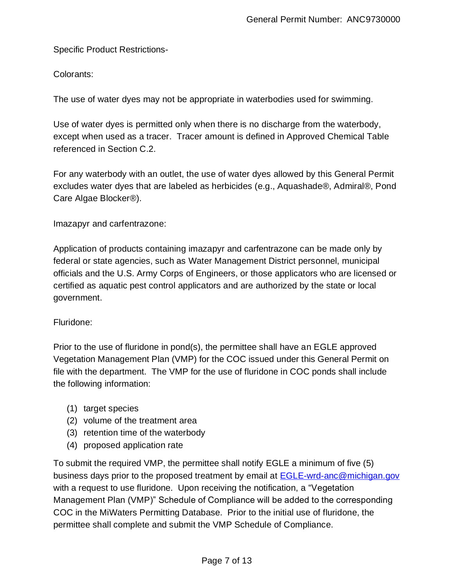Specific Product Restrictions-

Colorants:

The use of water dyes may not be appropriate in waterbodies used for swimming.

Use of water dyes is permitted only when there is no discharge from the waterbody, except when used as a tracer. Tracer amount is defined in Approved Chemical Table referenced in Section C.2.

For any waterbody with an outlet, the use of water dyes allowed by this General Permit excludes water dyes that are labeled as herbicides (e.g., Aquashade®, Admiral®, Pond Care Algae Blocker®).

Imazapyr and carfentrazone:

Application of products containing imazapyr and carfentrazone can be made only by federal or state agencies, such as Water Management District personnel, municipal officials and the U.S. Army Corps of Engineers, or those applicators who are licensed or certified as aquatic pest control applicators and are authorized by the state or local government.

Fluridone:

Prior to the use of fluridone in pond(s), the permittee shall have an EGLE approved Vegetation Management Plan (VMP) for the COC issued under this General Permit on file with the department. The VMP for the use of fluridone in COC ponds shall include the following information:

- (1) target species
- (2) volume of the treatment area
- (3) retention time of the waterbody
- (4) proposed application rate

To submit the required VMP, the permittee shall notify EGLE a minimum of five (5) business days prior to the proposed treatment by email at **EGLE-wrd-anc@michigan.gov** with a request to use fluridone. Upon receiving the notification, a "Vegetation Management Plan (VMP)" Schedule of Compliance will be added to the corresponding COC in the MiWaters Permitting Database. Prior to the initial use of fluridone, the permittee shall complete and submit the VMP Schedule of Compliance.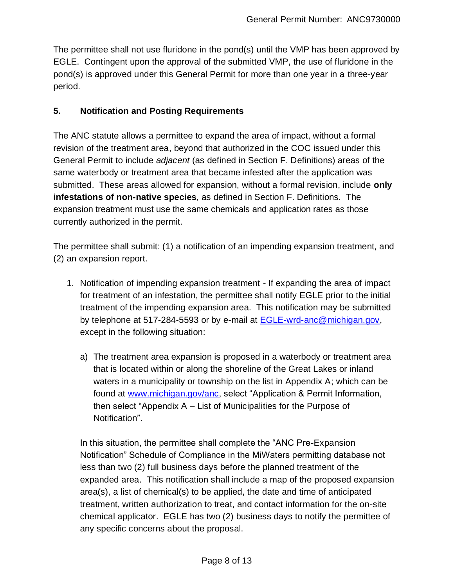The permittee shall not use fluridone in the pond(s) until the VMP has been approved by EGLE. Contingent upon the approval of the submitted VMP, the use of fluridone in the pond(s) is approved under this General Permit for more than one year in a three-year period.

#### **5. Notification and Posting Requirements**

The ANC statute allows a permittee to expand the area of impact, without a formal revision of the treatment area, beyond that authorized in the COC issued under this General Permit to include *adjacent* (as defined in Section F. Definitions) areas of the same waterbody or treatment area that became infested after the application was submitted. These areas allowed for expansion, without a formal revision, include **only infestations of non-native species***,* as defined in Section F. Definitions. The expansion treatment must use the same chemicals and application rates as those currently authorized in the permit.

The permittee shall submit: (1) a notification of an impending expansion treatment, and (2) an expansion report.

- 1. Notification of impending expansion treatment If expanding the area of impact for treatment of an infestation, the permittee shall notify EGLE prior to the initial treatment of the impending expansion area. This notification may be submitted by telephone at 517-284-5593 or by e-mail at **EGLE-wrd-anc@michigan.gov**, except in the following situation:
	- a) The treatment area expansion is proposed in a waterbody or treatment area that is located within or along the shoreline of the Great Lakes or inland waters in a municipality or township on the list in Appendix A; which can be found at [www.michigan.gov/anc,](http://www.michigan.gov/anc) select "Application & Permit Information, then select "Appendix A – List of Municipalities for the Purpose of Notification".

In this situation, the permittee shall complete the "ANC Pre-Expansion Notification" Schedule of Compliance in the MiWaters permitting database not less than two (2) full business days before the planned treatment of the expanded area. This notification shall include a map of the proposed expansion area(s), a list of chemical(s) to be applied, the date and time of anticipated treatment, written authorization to treat, and contact information for the on-site chemical applicator. EGLE has two (2) business days to notify the permittee of any specific concerns about the proposal.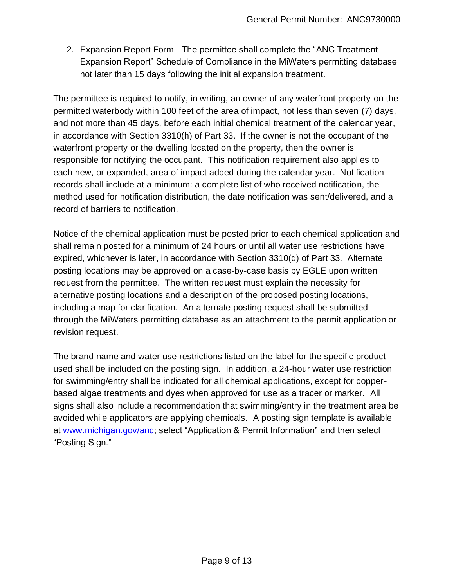2. Expansion Report Form - The permittee shall complete the "ANC Treatment Expansion Report" Schedule of Compliance in the MiWaters permitting database not later than 15 days following the initial expansion treatment.

The permittee is required to notify, in writing, an owner of any waterfront property on the permitted waterbody within 100 feet of the area of impact, not less than seven (7) days, and not more than 45 days, before each initial chemical treatment of the calendar year, in accordance with Section 3310(h) of Part 33. If the owner is not the occupant of the waterfront property or the dwelling located on the property, then the owner is responsible for notifying the occupant. This notification requirement also applies to each new, or expanded, area of impact added during the calendar year. Notification records shall include at a minimum: a complete list of who received notification, the method used for notification distribution, the date notification was sent/delivered, and a record of barriers to notification.

Notice of the chemical application must be posted prior to each chemical application and shall remain posted for a minimum of 24 hours or until all water use restrictions have expired, whichever is later, in accordance with Section 3310(d) of Part 33. Alternate posting locations may be approved on a case-by-case basis by EGLE upon written request from the permittee. The written request must explain the necessity for alternative posting locations and a description of the proposed posting locations, including a map for clarification. An alternate posting request shall be submitted through the MiWaters permitting database as an attachment to the permit application or revision request.

The brand name and water use restrictions listed on the label for the specific product used shall be included on the posting sign. In addition, a 24-hour water use restriction for swimming/entry shall be indicated for all chemical applications, except for copperbased algae treatments and dyes when approved for use as a tracer or marker. All signs shall also include a recommendation that swimming/entry in the treatment area be avoided while applicators are applying chemicals. A posting sign template is available at [www.michigan.gov/anc;](http://www.michigan.gov/anc) select "Application & Permit Information" and then select "Posting Sign."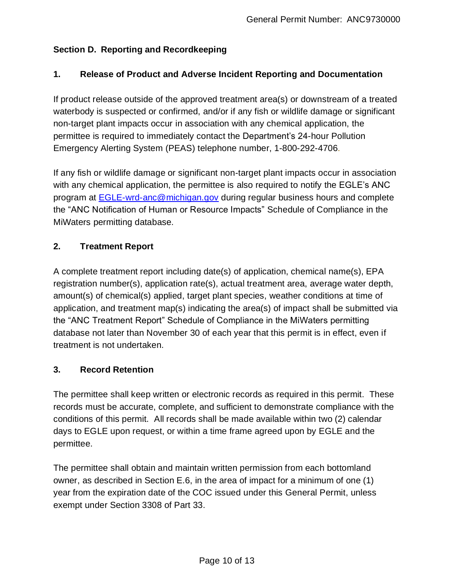# **Section D. Reporting and Recordkeeping**

# **1. Release of Product and Adverse Incident Reporting and Documentation**

If product release outside of the approved treatment area(s) or downstream of a treated waterbody is suspected or confirmed, and/or if any fish or wildlife damage or significant non-target plant impacts occur in association with any chemical application, the permittee is required to immediately contact the Department's 24-hour Pollution Emergency Alerting System (PEAS) telephone number, 1-800-292-4706.

If any fish or wildlife damage or significant non-target plant impacts occur in association with any chemical application, the permittee is also required to notify the EGLE's ANC program at [EGLE-wrd-anc@michigan.gov](mailto:EGLEwrdanc@michigan.gov) during regular business hours and complete the "ANC Notification of Human or Resource Impacts" Schedule of Compliance in the MiWaters permitting database.

# **2. Treatment Report**

A complete treatment report including date(s) of application, chemical name(s), EPA registration number(s), application rate(s), actual treatment area, average water depth, amount(s) of chemical(s) applied, target plant species, weather conditions at time of application, and treatment map(s) indicating the area(s) of impact shall be submitted via the "ANC Treatment Report" Schedule of Compliance in the MiWaters permitting database not later than November 30 of each year that this permit is in effect, even if treatment is not undertaken.

### **3. Record Retention**

The permittee shall keep written or electronic records as required in this permit. These records must be accurate, complete, and sufficient to demonstrate compliance with the conditions of this permit. All records shall be made available within two (2) calendar days to EGLE upon request, or within a time frame agreed upon by EGLE and the permittee.

The permittee shall obtain and maintain written permission from each bottomland owner, as described in Section E.6, in the area of impact for a minimum of one (1) year from the expiration date of the COC issued under this General Permit, unless exempt under Section 3308 of Part 33.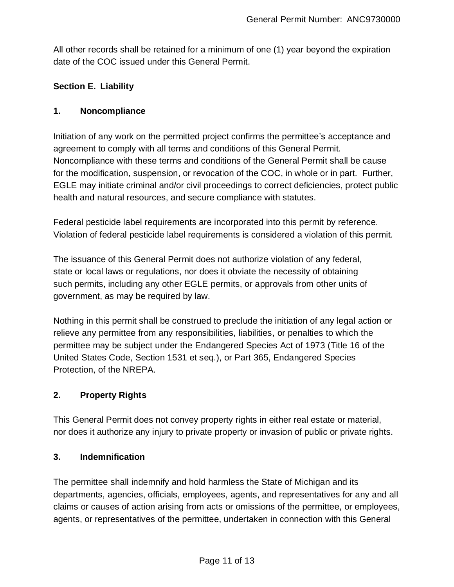All other records shall be retained for a minimum of one (1) year beyond the expiration date of the COC issued under this General Permit.

# **Section E. Liability**

### **1. Noncompliance**

Initiation of any work on the permitted project confirms the permittee's acceptance and agreement to comply with all terms and conditions of this General Permit. Noncompliance with these terms and conditions of the General Permit shall be cause for the modification, suspension, or revocation of the COC, in whole or in part. Further, EGLE may initiate criminal and/or civil proceedings to correct deficiencies, protect public health and natural resources, and secure compliance with statutes.

Federal pesticide label requirements are incorporated into this permit by reference. Violation of federal pesticide label requirements is considered a violation of this permit.

The issuance of this General Permit does not authorize violation of any federal, state or local laws or regulations, nor does it obviate the necessity of obtaining such permits, including any other EGLE permits, or approvals from other units of government, as may be required by law.

Nothing in this permit shall be construed to preclude the initiation of any legal action or relieve any permittee from any responsibilities, liabilities, or penalties to which the permittee may be subject under the Endangered Species Act of 1973 (Title 16 of the United States Code, Section 1531 et seq.), or Part 365, Endangered Species Protection, of the NREPA.

### **2. Property Rights**

This General Permit does not convey property rights in either real estate or material, nor does it authorize any injury to private property or invasion of public or private rights.

### **3. Indemnification**

The permittee shall indemnify and hold harmless the State of Michigan and its departments, agencies, officials, employees, agents, and representatives for any and all claims or causes of action arising from acts or omissions of the permittee, or employees, agents, or representatives of the permittee, undertaken in connection with this General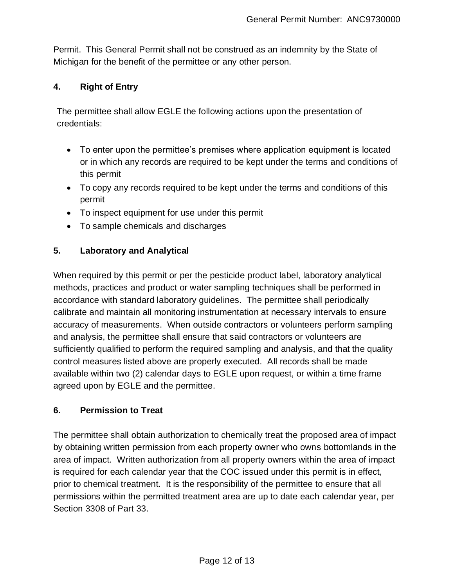Permit. This General Permit shall not be construed as an indemnity by the State of Michigan for the benefit of the permittee or any other person.

# **4. Right of Entry**

The permittee shall allow EGLE the following actions upon the presentation of credentials:

- To enter upon the permittee's premises where application equipment is located or in which any records are required to be kept under the terms and conditions of this permit
- To copy any records required to be kept under the terms and conditions of this permit
- To inspect equipment for use under this permit
- To sample chemicals and discharges

# **5. Laboratory and Analytical**

When required by this permit or per the pesticide product label, laboratory analytical methods, practices and product or water sampling techniques shall be performed in accordance with standard laboratory guidelines. The permittee shall periodically calibrate and maintain all monitoring instrumentation at necessary intervals to ensure accuracy of measurements. When outside contractors or volunteers perform sampling and analysis, the permittee shall ensure that said contractors or volunteers are sufficiently qualified to perform the required sampling and analysis, and that the quality control measures listed above are properly executed. All records shall be made available within two (2) calendar days to EGLE upon request, or within a time frame agreed upon by EGLE and the permittee.

### **6. Permission to Treat**

The permittee shall obtain authorization to chemically treat the proposed area of impact by obtaining written permission from each property owner who owns bottomlands in the area of impact. Written authorization from all property owners within the area of impact is required for each calendar year that the COC issued under this permit is in effect, prior to chemical treatment. It is the responsibility of the permittee to ensure that all permissions within the permitted treatment area are up to date each calendar year, per Section 3308 of Part 33.